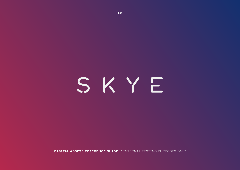# SKYE

**DIGITAL ASSETS REFERENCE GUIDE** / INTERNAL TESTING PURPOSES ONLY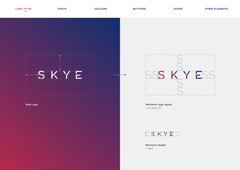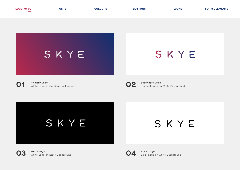SKYE

SKYE

|--|

**Primary Logo** White Logo on Gradient Background **01 02**

**Secondary Logo** Gradient Logo on White Background

SKYE

SKYE



**White Logo 03** White Logo on Black Background<br> **04** White Logo on Black Background



**Black Logo** Black Logo on White Background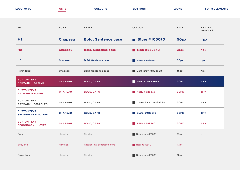| LOGO 01 02                                      | <b>FONTS</b>   | <b>COLOURS</b>                 | <b>BUTTONS</b>                           | <b>ICONS</b> | <b>FORM ELEMENTS</b>            |
|-------------------------------------------------|----------------|--------------------------------|------------------------------------------|--------------|---------------------------------|
| ID                                              | <b>FONT</b>    | <b>STYLE</b>                   | <b>COLOUR</b>                            | <b>SIZE</b>  | <b>LETTER</b><br><b>SPACING</b> |
| H <sub>1</sub>                                  | <b>Chapeau</b> | <b>Bold, Sentence case</b>     | <b>Blue: #103070</b><br><b>The State</b> | 50px         | 1px                             |
| <b>H2</b>                                       | <b>Chapeau</b> | <b>Bold, Sentence case</b>     | <b>Red: #B8284C</b>                      | 35px         | 1px                             |
| H3                                              | <b>Chapeau</b> | <b>Bold, Sentence case</b>     | <b>Blue: #103070</b>                     | 30px         | 1px                             |
| Form label                                      | Chapeau        | <b>Bold, Sentence case</b>     | Dark grey: #333333                       | 15px         | 1px                             |
| <b>BUTTON TEXT</b><br><b>PRIMARY - ACTIVE</b>   | <b>CHAPEAU</b> | <b>BOLD, CAPS</b>              | WHITE: #FFFFFFF                          | 30PX         | 2PX                             |
| <b>BUTTON TEXT</b><br><b>PRIMARY - HOVER</b>    | <b>CHAPEAU</b> | <b>BOLD, CAPS</b>              | <b>RED: #B8284C</b>                      | <b>30PX</b>  | 2PX                             |
| <b>BUTTON TEXT</b><br><b>PRIMARY - DISABLED</b> | <b>CHAPEAU</b> | <b>BOLD, CAPS</b>              | DARK GREY: #333333<br><b>Talent</b>      | 30PX         | 2PX                             |
| <b>BUTTON TEXT</b><br><b>SECONDARY - ACTIVE</b> | <b>CHAPEAU</b> | <b>BOLD, CAPS</b>              | <b>BLUE: #103070</b>                     | <b>30PX</b>  | 2PX                             |
| <b>BUTTON TEXT</b><br><b>SECONDARY - HOVER</b>  | <b>CHAPEAU</b> | <b>BOLD, CAPS</b>              | <b>RED: #B8284C</b>                      | <b>30PX</b>  | 2PX                             |
| Body                                            | Helvetica      | Regular                        | Dark grey: #333333                       | 17px         |                                 |
| <b>Body links</b>                               | Helvetica      | Regular; Text decoration: none | Red: #B8284C                             | 17px         |                                 |
| Footer body                                     | Helvetica      | Regular                        | Dark grey: #333333                       | 12px         | $\overline{\phantom{a}}$        |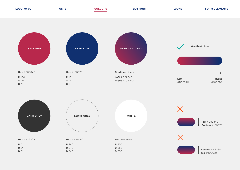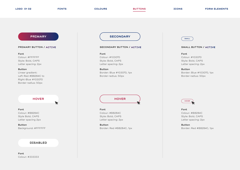# **PRIMARY**

### **PRIMARY BUTTON / ACTIVE**

# **Font**

Colour: #FFFFFF Style: Bold, CAPS Letter spacing: 2px

# **Button**

Linear gradient: Left-Red #B8284C to Right-Blue #103070 Border-radius: 50px

**HOVER**

 $\blacktriangledown$ 

# **Font** Colour: #B8284C Style Bold, CAPS Letter spacing 2px

**Button** Background: #FFFFFF

# **DISABLED**

**Font** Colour: #333333

# **SECONDARY a**

# **SECONDARY BUTTON / ACTIVE**

# **Font**

Colour: #103070 Style: Bold, CAPS Letter spacing: 2px

**Button**  Border: Blue #103070, 1px Border-radius: 50px

**HOVER**

**Font** Colour: #B8284C Style: Bold, CAPS Letter spacing: 2px

**Button**  Border: Red #B8284C, 1px



# **SMALL BUTTON / ACTIVE**

# **Font**

Colour: #103070 Style: Bold, CAPS Letter spacing: 2px

**Button**  Border: Blue #103070, 1px Border-radius: 50px



# **Font** Colour: #B8284C Style: Bold, CAPS Letter spacing: 2px

**Button**  Border: Red #B8284C, 1px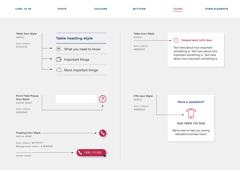